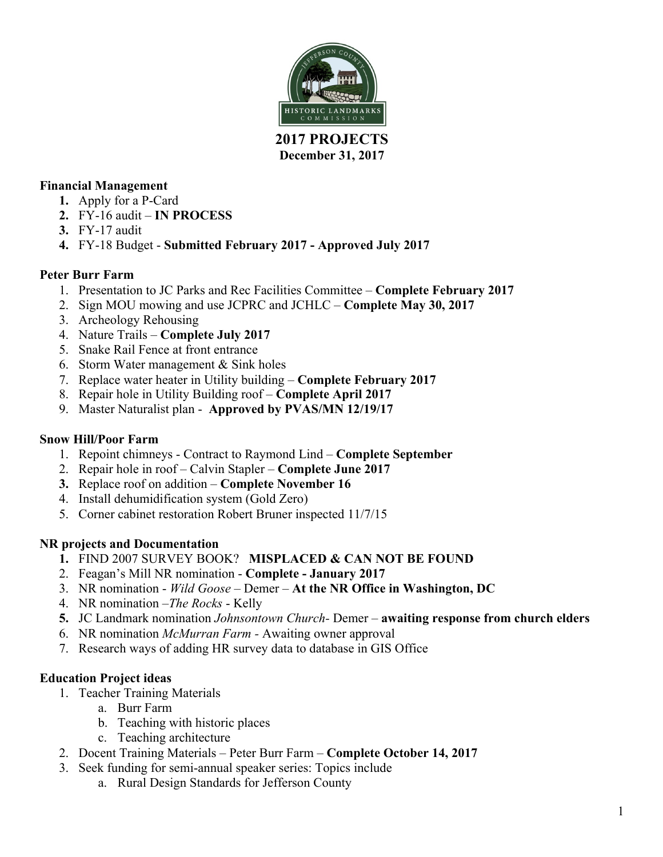

#### **2017 PROJECTS December 31, 2017**

### **Financial Management**

- **1.** Apply for a P-Card
- **2.** FY-16 audit **IN PROCESS**
- **3.** FY-17 audit
- **4.** FY-18 Budget **Submitted February 2017 - Approved July 2017**

#### **Peter Burr Farm**

- 1. Presentation to JC Parks and Rec Facilities Committee **Complete February 2017**
- 2. Sign MOU mowing and use JCPRC and JCHLC **Complete May 30, 2017**
- 3. Archeology Rehousing
- 4. Nature Trails **Complete July 2017**
- 5. Snake Rail Fence at front entrance
- 6. Storm Water management & Sink holes
- 7. Replace water heater in Utility building **Complete February 2017**
- 8. Repair hole in Utility Building roof **Complete April 2017**
- 9. Master Naturalist plan **Approved by PVAS/MN 12/19/17**

#### **Snow Hill/Poor Farm**

- 1. Repoint chimneys Contract to Raymond Lind **Complete September**
- 2. Repair hole in roof Calvin Stapler **Complete June 2017**
- **3.** Replace roof on addition **Complete November 16**
- 4. Install dehumidification system (Gold Zero)
- 5. Corner cabinet restoration Robert Bruner inspected 11/7/15

## **NR projects and Documentation**

- **1.** FIND 2007 SURVEY BOOK? **MISPLACED & CAN NOT BE FOUND**
- 2. Feagan's Mill NR nomination **Complete - January 2017**
- 3. NR nomination *Wild Goose* Demer **At the NR Office in Washington, DC**
- 4. NR nomination –*The Rocks* Kelly
- **5.** JC Landmark nomination *Johnsontown Church-* Demer **awaiting response from church elders**
- 6. NR nomination *McMurran Farm -* Awaiting owner approval
- 7. Research ways of adding HR survey data to database in GIS Office

#### **Education Project ideas**

- 1. Teacher Training Materials
	- a. Burr Farm
	- b. Teaching with historic places
	- c. Teaching architecture
- 2. Docent Training Materials Peter Burr Farm **Complete October 14, 2017**
- 3. Seek funding for semi-annual speaker series: Topics include
	- a. Rural Design Standards for Jefferson County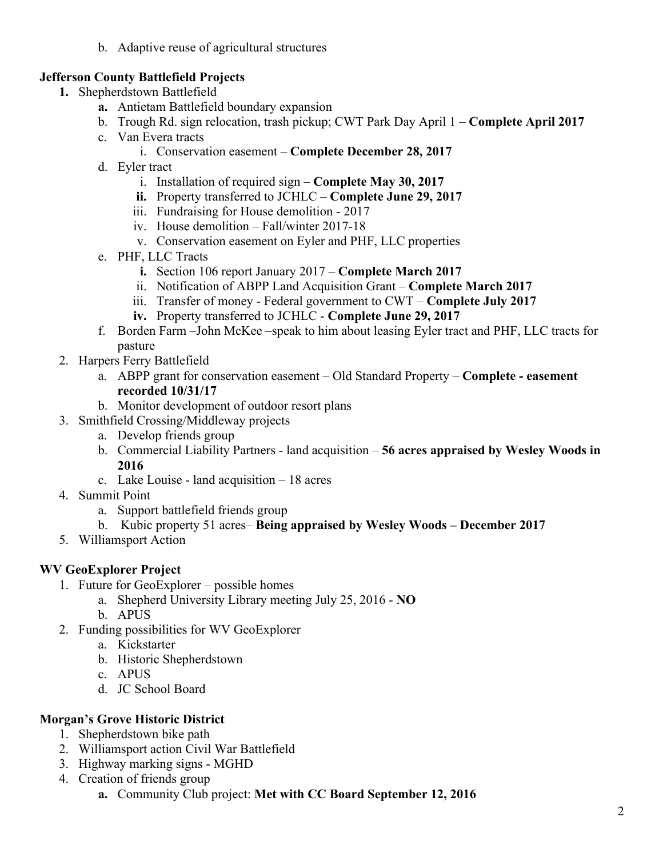b. Adaptive reuse of agricultural structures

### **Jefferson County Battlefield Projects**

- **1.** Shepherdstown Battlefield
	- **a.** Antietam Battlefield boundary expansion
	- b. Trough Rd. sign relocation, trash pickup; CWT Park Day April 1 **Complete April 2017**
	- c. Van Evera tracts
		- i. Conservation easement **Complete December 28, 2017**
	- d. Eyler tract
		- i. Installation of required sign **Complete May 30, 2017**
		- **ii.** Property transferred to JCHLC **Complete June 29, 2017**
		- iii. Fundraising for House demolition 2017
		- iv. House demolition Fall/winter 2017-18
		- v. Conservation easement on Eyler and PHF, LLC properties
	- e. PHF, LLC Tracts
		- **i.** Section 106 report January 2017 **Complete March 2017**
		- ii. Notification of ABPP Land Acquisition Grant **Complete March 2017**
		- iii. Transfer of money Federal government to CWT **Complete July 2017**
		- **iv.** Property transferred to JCHLC **Complete June 29, 2017**
	- f. Borden Farm –John McKee –speak to him about leasing Eyler tract and PHF, LLC tracts for pasture
- 2. Harpers Ferry Battlefield
	- a. ABPP grant for conservation easement Old Standard Property **Complete - easement recorded 10/31/17**
	- b. Monitor development of outdoor resort plans
- 3. Smithfield Crossing/Middleway projects
	- a. Develop friends group
	- b. Commercial Liability Partners land acquisition **56 acres appraised by Wesley Woods in 2016**
	- c. Lake Louise land acquisition 18 acres
- 4. Summit Point
	- a. Support battlefield friends group
	- b. Kubic property 51 acres– **Being appraised by Wesley Woods – December 2017**
- 5. Williamsport Action

#### **WV GeoExplorer Project**

- 1. Future for GeoExplorer possible homes
	- a. Shepherd University Library meeting July 25, 2016 **NO**
	- b. APUS
- 2. Funding possibilities for WV GeoExplorer
	- a. Kickstarter
	- b. Historic Shepherdstown
	- c. APUS
	- d. JC School Board

#### **Morgan's Grove Historic District**

- 1. Shepherdstown bike path
- 2. Williamsport action Civil War Battlefield
- 3. Highway marking signs MGHD
- 4. Creation of friends group
	- **a.** Community Club project: **Met with CC Board September 12, 2016**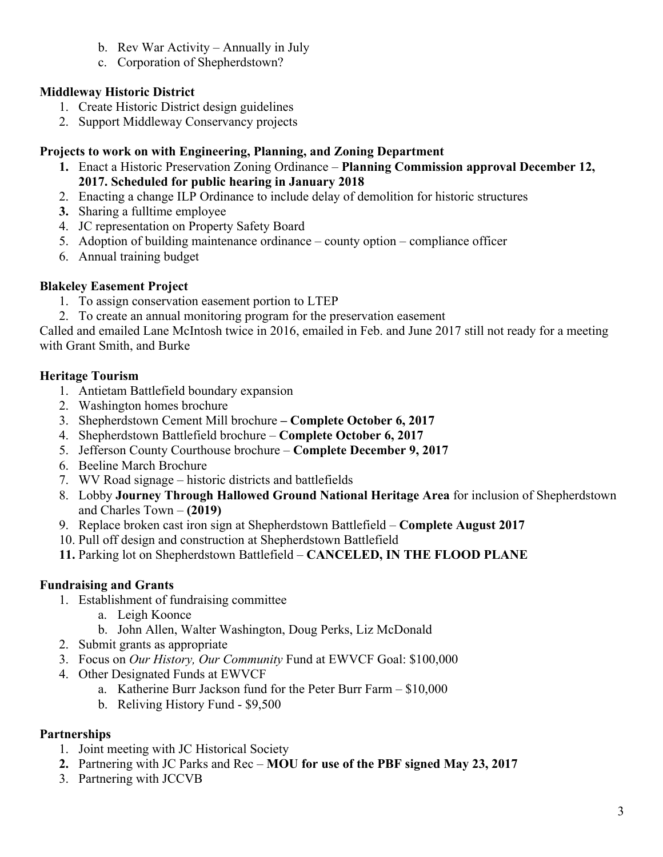- b. Rev War Activity Annually in July
- c. Corporation of Shepherdstown?

### **Middleway Historic District**

- 1. Create Historic District design guidelines
- 2. Support Middleway Conservancy projects

#### **Projects to work on with Engineering, Planning, and Zoning Department**

- **1.** Enact a Historic Preservation Zoning Ordinance **Planning Commission approval December 12, 2017. Scheduled for public hearing in January 2018**
- 2. Enacting a change ILP Ordinance to include delay of demolition for historic structures
- **3.** Sharing a fulltime employee
- 4. JC representation on Property Safety Board
- 5. Adoption of building maintenance ordinance county option compliance officer
- 6. Annual training budget

#### **Blakeley Easement Project**

- 1. To assign conservation easement portion to LTEP
- 2. To create an annual monitoring program for the preservation easement

Called and emailed Lane McIntosh twice in 2016, emailed in Feb. and June 2017 still not ready for a meeting with Grant Smith, and Burke

#### **Heritage Tourism**

- 1. Antietam Battlefield boundary expansion
- 2. Washington homes brochure
- 3. Shepherdstown Cement Mill brochure **– Complete October 6, 2017**
- 4. Shepherdstown Battlefield brochure **Complete October 6, 2017**
- 5. Jefferson County Courthouse brochure **Complete December 9, 2017**
- 6. Beeline March Brochure
- 7. WV Road signage historic districts and battlefields
- 8. Lobby **Journey Through Hallowed Ground National Heritage Area** for inclusion of Shepherdstown and Charles Town – **(2019)**
- 9. Replace broken cast iron sign at Shepherdstown Battlefield **Complete August 2017**
- 10. Pull off design and construction at Shepherdstown Battlefield
- **11.** Parking lot on Shepherdstown Battlefield **CANCELED, IN THE FLOOD PLANE**

#### **Fundraising and Grants**

- 1. Establishment of fundraising committee
	- a. Leigh Koonce
	- b. John Allen, Walter Washington, Doug Perks, Liz McDonald
- 2. Submit grants as appropriate
- 3. Focus on *Our History, Our Community* Fund at EWVCF Goal: \$100,000
- 4. Other Designated Funds at EWVCF
	- a. Katherine Burr Jackson fund for the Peter Burr Farm \$10,000
	- b. Reliving History Fund \$9,500

#### **Partnerships**

- 1. Joint meeting with JC Historical Society
- **2.** Partnering with JC Parks and Rec **MOU for use of the PBF signed May 23, 2017**
- 3. Partnering with JCCVB